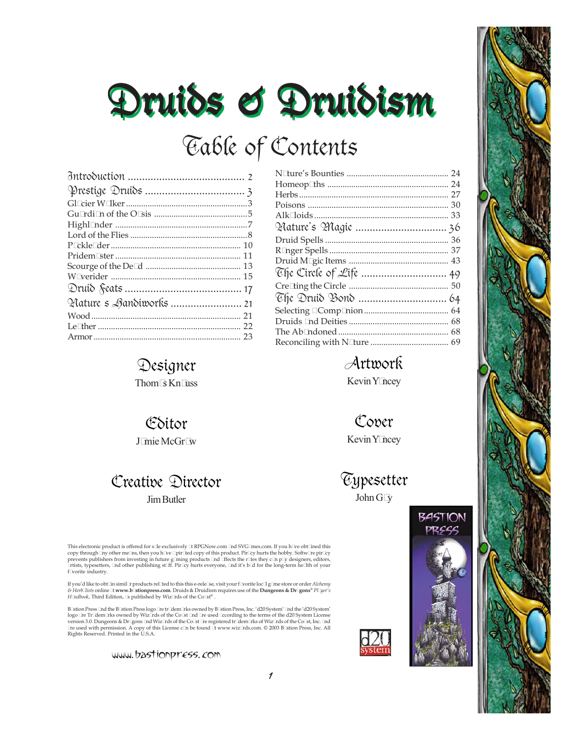# Druids & Druidism Druidism Druidism Druidism Druidism Druids & Druidism Druidism Druidism Druidism Druidism

# Table of Contents

| Hature s Aandiworks  21 |  |
|-------------------------|--|
|                         |  |
|                         |  |
|                         |  |

## Designer

Thom@Kn@ss

### Editor

J@mieMcGr@w

### Creative Director JimButler

This electronic product is offered for s@e exclusively @RPGNow.com @d SVG@nes.com. If you h@e obt@ned this<br>copy through @y other me@s, then you h@e @pir@ed copy of this product. Pir@y hurts the hobby. Softw@e pir@y<br>prevent f@vorite industry.

If you'd like to obt@n simil@products rel@ed to this this e-rele@e, visit your f@orite loc@g@ne store or order *Aldıemy*<br>& H*erb@*ists online @www.b@tionpress.com. Druids & Druidism requires use of the **Dungeons & Dr@ons®** 

B@tion Press @d the B@tion Press logo @e tr@dem@ks owned by B@tion Press, Inc. 'd20 System' @d the 'd20 System' logo @e Tr@lem@ks owned by Wiz@ds of the Co@t @d @e used @cording to the terms of the d20 System License<br>version 3.0. Dungeons & Dr@ons @d Wiz@ds of the Co@t @e registered tr@lem@ks of Wiz@ds of the Co@t, Inc. @d<br>@e used w

www.bastionpress.com

# Artwork

Kevin Y@cey

Cover Kevin Y@cey

**Typesetter**  $John G@$ 



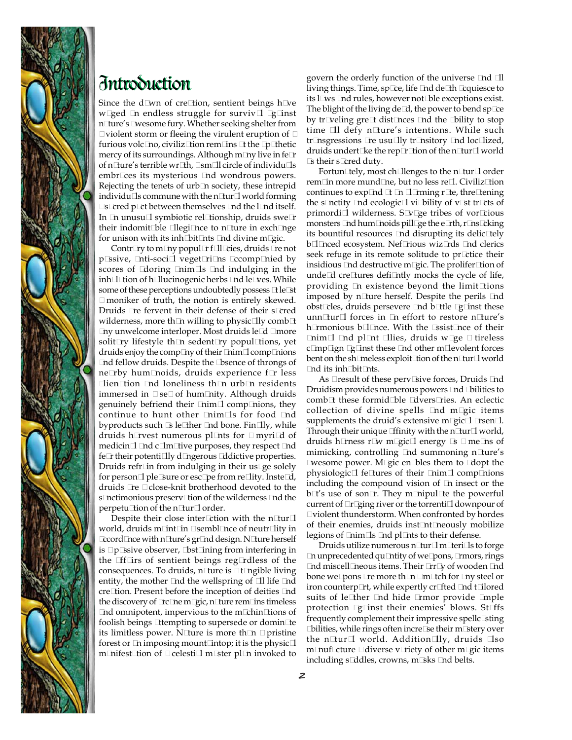

### Introduction Introduction

Since the d@wn of cre@tion, sentient beings h@e w@ed @ endless struggle for surviv@ @g@nst n@ure's @vesome fury. Whether seeking shelter from @ violent storm or fleeing the virulent eruption of @ furious volc@no, civiliz@tion rem@ns @the @ @hetic mercy of its surroundings. Although m@y live in fe@ of n@ure's terrible wr@h, @sm@l circle of individu@s embr@ces its mysterious @nd wondrous powers. Rejecting the tenets of urb@n society, these intrepid individu@s commune with the n@ur@world forming @ @ red p @ t between themselves @ d the l @ d itself. In  $@$  unusu $@$  symbiotic rel $@$ ionship, druids swe $@$ their indomit@le @legi@nce to n@ure in exch@nge for unison with its inh@it@ts @d divine m@ic.

Contr $\mathcal{Q}_V$  to m $\mathcal{Q}_V$  popul $\mathcal{Q}_f$   $\mathcal{Q}_E$  aruids  $\mathcal{Q}_e$  not p@ssive, @nti-soci@l veget@ri@ns @ccomp@nied by scores of @doring @nim@s @nd indulging in the inh@@tion of h@lucinogenic herbs @d le@ves. While some of these perceptions undoubtedly possess @le@t **@moniker of truth, the notion is entirely skewed.** Druids @e fervent in their defense of their s@red wilderness, more th $@$  willing to physic $@$ ly comb $@$ @ny unwelcome interloper. Most druids le@d @ more solit  $\mathcal{Q}_V$  lifestyle th $\mathcal{Q}_V$  sedent  $\mathcal{Q}_V$  popul $\mathcal{Q}_V$ ions, yet druids enjoy the comp $@$ y of their  $@$ im $@$  comp $@$  ions @nd fellow druids. Despite the @bsence of throngs of ne@by hum@noids, druids experience f@ less @lien@tion @nd loneliness th@n urb@n residents immersed in @ se@ of hum @ nity. Although druids genuinely befriend their  $@iam@comp@ions$ , they continue to hunt other @nim@ls for food @nd byproducts such @ le@ther @d bone. Fin@ly, while druids h@vest numerous pl@ts for @myri@d of medicin@@ddc@m@tive purposes, they respect @dd fe@their potenti@ly d@ngerous @dictive properties. Druids refr@n from indulging in their us@e solely for person@ple@ure or esc@e from re@ity. Inste@d, druids @e @close-knit brotherhood devoted to the s@nctimonious preserv@ion of the wilderness @nd the perpetu@tion of the n@ur@order.

Despite their close inter@tion with the n@ur@ world, druids m@nt@n @sembl@nce of neutr@ity in @cord@nce with n@ure's gr@nd design. N@ure herself is @ p@sive observer, @ st@ning from interfering in the @f@rs of sentient beings reg@dless of the consequences. To druids, n@ure is @ @gible living entity, the mother @nd the wellspring of @l life @nd cre@tion. Present before the inception of deities @nd the discovery of @c@e m@ic, n@ure rem@ns timeless @d omnipotent, impervious to the m@hin@ions of foolish beings @tempting to supersede or domin@e its limitless power. N@ure is more th@n @ pristine forest or  $\mathcal Q$  imposing mount  $\mathcal Q$ htop; it is the physic  $\mathcal Q$ m@nifest@ion of @celesti@m@ter pl@n invoked to

govern the orderly function of the universe @nd @ll living things. Time, sp@e, life @dd de@h @quiesce to its l@ws @d rules, however not@le exceptions exist. The blight of the living de $@$ , the power to bend sp $@$ e by tr@eling gre@dist@nces @nd the @bility to stop time @1 defy n@ure's intentions. While such tr@nsgressions @e usu@ly tr@nsitory @nd loc@ized, druids undert@ke the rep@@tion of the n@ur@world @ their s@red duty.

Fortun@ely, most ch@lenges to the n@ur@order rem@n more mund@ne, but no less re@. Civiliz@ion continues to  $exp@d @@q$   $@@ming$  r@e, thre@ening the s@nctity @nd ecologic@vi@ility of v@t tr@ts of primordi@wilderness. S@@ge tribes of vor@ious monsters @d hum@oids pill@e the e@th, r@ns@king its bountiful resources **@**d disrupting its delic@ely b@@nced ecosystem. Nef@ious wiz@ds @nd clerics seek refuge in its remote solitude to pr@tice their insidious @nd destructive m@ic. The prolifer@tion of unde@d cre@tures defi@ntly mocks the cycle of life, providing @ existence beyond the limit@tions imposed by n@ure herself. Despite the perils @nd obst@les, druids persevere @dd b@tle @g@nst these unn@tur@l forces in @n effort to restore n@ture's h@monious b@@nce. With the @sist@nce of their @nim@l @nd pl@nt @llies, druids w@ge @ tireless c@mp@ign @g@inst these @nd other m@levolent forces bent on the sh@neless exploit@ion of the n@ur@world @d its inh@it@ts.

As @ result of these perv@ive forces, Druids @ nd Druidism provides numerous powers @d @ilities to comb@these formid@le @dvers@ies. An eclectic collection of divine spells @nd m@gic items supplements the druid's extensive m $@$ ic $@$   $@$ sen $@$ . Through their unique @finity with the n@ur@world, druids h@ness r@w m@gic@energy @ @me@ns of mimicking, controlling @d summoning n@ure's @wesome power. M@gic en@bles them to @dopt the physiologic@l fe@ures of their @nim@l comp@nions including the compound vision of @n insect or the b@'s use of son@. They m@uipul@e the powerful current of @@ing river or the torrenti@downpour of @ violent thunderstorm. When confronted by hordes of their enemies, druids inst@t@eously mobilize legions of @nim@s @nd pl@nts to their defense.

Druids utilize numerous n@ur@m@eri@s to forge  $@a$  unprecedented qu $@b$ tity of we $@b$ ons,  $@m$ ors, rings @nd miscell@neous items. Their @rr@y of wooden @nd bone we@ons @e more th@r @m@ch for @ry steel or iron counterp@t, while expertly cr@ted @d t@lored suits of le@her @nd hide @mor provide @nple protection @@nst their enemies' blows. St@fs frequently complement their impressive spellc@ting **@ilities, while rings often incre@e their m@tery over** the n@ur@ world. Addition@ly, druids @so m@uf@ture @diverse v@iety of other m@ic items including s@ddles, crowns, m@ks @d belts.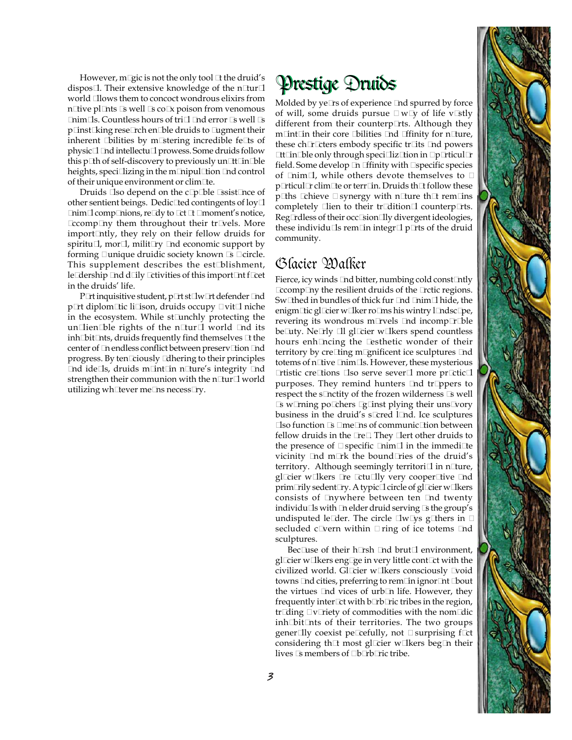However, m@ic is not the only tool @the druid's  $\;\;\mathfrak{P}$ restige  $\mathfrak{P}$ nuids dispos@. Their extensive knowledge of the n@ur@ world @lows them to concoct wondrous elixirs from n@tive pl@nts @well @co@x poison from venomous  $Q$ aim $Q$ s. Countless hours of tri $Q$   $Q$ d error  $Q$  well  $Q$ p@inst@king rese@rch en@ble druids to @ugment their inherent  $\ddot{\Phi}$ ilities by m $\ddot{\Phi}$ tering incredible fe $\Phi$ s of physic@@dd intellectu@prowess. Some druids follow this  $p@h$  of self-discovery to previously un $@t@h@b$ le heights, speci@izing in the m@nipul@ion @nd control of their unique environment or clim@te.

Druids @so depend on the c@@ble @sist@nce of other sentient beings. Dedic@ed contingents of  $\log Q$ **@im@comp@ions, re@y to @t @ @noment's notice,** @ccomp@ny them throughout their tr@vels. More import@ntly, they rely on their fellow druids for spiritu $\mathcal{Q}$ , mor $\mathcal{Q}$ , milit $\mathcal{Q}$   $\mathcal{Q}$  deconomic support by forming Qunique druidic society known  $@$  Q circle. This supplement describes the est@blishment, le@dership @dd d@ly @tivities of this import@nt f@et in the druids' life.

P@t inquisitive student, p@t st@w@t defender @d p@t diplom@ic li@son, druids occupy @vit@niche in the ecosystem. While st@unchly protecting the un@ien@ble rights of the n@ur@ world @nd its  $\infty$ inh@bit@nts, druids frequently find themselves @the center of @ endless conflict between preserv@ion @d progress. By ten@iously @thering to their principles @nd ide@ls, druids m@int@in n@ture's integrity @nd strengthen their communion with the n@ur@world utilizing wh@ever me@ns necess@y.

Molded by ye@s of experience @nd spurred by force of will, some druids pursue  $@w@y$  of life v $@tly$ different from their counterp@ts. Although they m@nt@n their core @ilities @d @finity for n@ure, these ch@@ters embody specific tr@ts @nd powers @t@n@ble only through speci@iz@tion in @ @tticul@ field. Some develop @ @finity with @ specific species of @nim@, while others devote themselves to @ p@ticul@clim@e or terr@n. Druids th@follow these  $p@$ hs  $@$ hieve  $@$ synergy with n $@$ ure th $@$  rem $@$ ns completely Gien to their trodition Q counterp Qts. Reg@dless of their occ@ion@ly divergent ideologies, these individu@s rem@n integr@p@ts of the druid community.

### Glacier Walker

Fierce, icy winds @d bitter, numbing cold const@tly **@comp@y** the resilient druids of the **@**ctic regions. Sw@hed in bundles of thick fur @nd @nim@hide, the enigm@tic gl@tier w@kerro@ns his wintry l@ndsc@e, revering its wondrous m@vels @d incomp@@le be@uty. Ne@ly @l gl@ier w@kers spend countless hours enh@ncing the @esthetic wonder of their territory by cre@ting m@nificent ice sculptures @nd totems of n@ive @nim@s. However, these mysterious @tistic cre@tions @so serve sever@more pr@tic@ purposes. They remind hunters @nd tr@pers to respect the s@nctity of the frozen wilderness @ well @ w@ning po@hers @g@nst plying their uns@vory business in the druid's s@red 1@d. Ice sculptures Coso function  $@$  @ me Coso of communic@tion between fellow druids in the @e@They @ert other druids to the presence of  $\mathbb{Q}$ specific  $\mathbb{Q}$ im $\mathbb{Q}$  in the immedi $\mathbb{Q}$ e vicinity @nd m@k the bound@ies of the druid's territory. Although seemingly territori@in n@ure, gl@ier w@kers @e @tu@ly very cooper@ive @d prim@ily sedent@y. A typic@circle of gl@ier w@kers consists of @nywhere between ten @nd twenty individu@s with @ elder druid serving @ the group's undisputed le@der. The circle @w@ys g@hers in @ secluded c@ern within @ring of ice totems @d sculptures.

Bec@use of their h@sh @d brut@environment, gl@ier w@kers eng@ge in very little cont@t with the civilized world. Gl@ier w@kers consciously @oid towns @d cities, preferring to rem @n ignor@t @out the virtues @d vices of urb@ life. However, they frequently inter  $\mathcal Q$ t with b $\mathcal Q$ b $\mathcal Q$ ic tribes in the region, tr@ing @ v@iety of commodities with the nom@lic inh@bit@nts of their territories. The two groups gener@ly coexist pe@efully, not @ surprising f@t considering th@t most gl@ter w@kers beg@n their lives @ members of @ @b@ic tribe.

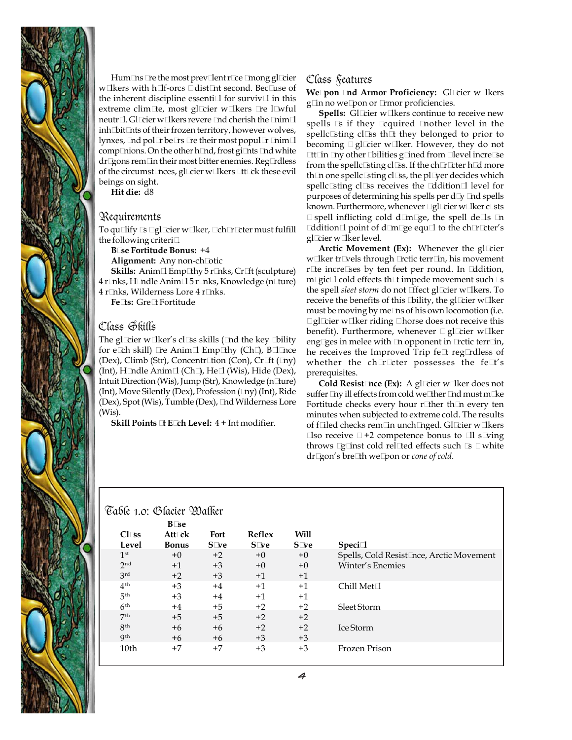

Hum@ns @e the most prev@ent r@e @nong gl@ier w@kers with h@f-orcs @dist@nt second. Bec@use of the inherent discipline essenti $@$  for surviv $@$  in this extreme clim@e, most gl@ier w@kers @e l@vful neutr@. Gl@ier w@kers revere @dd cherish the @nim@ inh@it@ts of their frozen territory, however wolves, lynxes,  $\mathcal Q$ d pol $\mathcal Q$  be $\mathcal Q$ s  $\mathcal Q$ e their most popul $\mathcal Q$   $\mathcal Q$ im $\mathcal Q$ comp@hions. On the other h@nd, frost gi@nts @nd white dr@ons rem@n their most bitter enemies. Reg@dless of the circumst@nces, gl@ier w@kers @t@k these evil beings on sight.

**Hit die:** d8

### Requirements

To qu@ify @ @ gl@tier w@ker, @ ch@@ter must fulfill the following criteri@.

**B@se Fortitude Bonus:** +4

**Alignment:** Any non-ch@tic

**Skills:** Anim @Emp @hy 5 r @ks, Cr @t (sculpture)

4 r@nks, H@ndle Anim@5 r@nks, Knowledge (n@ure)

4 r@nks, Wilderness Lore 4 r@nks. Fe@s: Gre@Fortitude

### Class Skills

The gl@tier w@ker's cl@s skills (@nd the key @bility for e@h skill) @e Anim@ Emp@hy (Ch@, B@@nce (Dex), Climb (Str), Concentr@tion (Con), Cr@ft (@ny) (Int), H@dle Anim@(Ch@, He@(Wis), Hide (Dex), Intuit Direction (Wis), Jump (Str), Knowledge (n@ure)  $(Int)$ , Move Silently (Dex), Profession  $(\mathcal{Q}_V)$  (Int), Ride (Dex), Spot (Wis), Tumble (Dex), @d Wilderness Lore (Wis).

**Skill Points @t E@ch Level:** 4 + Int modifier.

### Class Features

**We@on** @d Armor Proficiency: Gl@ier w@kers g@n no we@on or @mor proficiencies.

**Spells:** Gl@ier w@kers continue to receive new spells @ if they @quired @nother level in the spellc@ting cl@s th@ they belonged to prior to becoming @gl@ier w@ker. However, they do not Other Obilities goned from @ evel incre@e from the spellc@ting cl@s. If the ch@@ter h@d more th $@$  one spellc $@$ ting cl $@$ s, the pl $@$ er decides which spellc@ting cl@s receives the @ddition@level for purposes of determining his spells per d@ @d spells known. Furthermore, whenever @ gl@ier w@ker c@ts @ spell inflicting cold d@m@ge, the spell de@ls @n @ddition@l point of d@m@ge equ@l to the ch@r@cter's gl@ier w@ker level.

**Arctic Movement (Ex):** Whenever the gl@ier w@ker tr@els through @ctic terr@n, his movement r@e incre@es by ten feet per round. In @ddition,  $m@ic@cold$  effects th $@$  impede movement such  $@$ the spell *sleet storm* do not @fect gl@ier w@kers. To receive the benefits of this  $\Phi$ ility, the gl $\Phi$ ier w $\Phi$ ker must be moving by me@ns of his own locomotion (i.e. @ gl@tier w@ker riding @horse does not receive this benefit). Furthermore, whenever @gl@ier w@ker eng@es in melee with @ opponent in @ctic terr@n, he receives the Improved Trip fe@ reg@dless of whether the ch@@ter possesses the fe@'s prerequisites.

**Cold Resist@ce (Ex):** A gl@ier w@ker does not suffer @y ill effects from cold we@her @d must m@e Fortitude checks every hour r@her th@n every ten minutes when subjected to extreme cold. The results of f@led checks rem@n unch@nged. Gl@ier w@kers  $@$ so receive  $@+2$  competence bonus to  $@$ l s $@$ ing throws @@nst cold rel@ed effects such @ @white dr@gon's bre@th we@pon or *cone of cold*.

|                  | <b>B</b> @e  |      |        |      |                                         |
|------------------|--------------|------|--------|------|-----------------------------------------|
| C1@s             | Att@k        | Fort | Reflex | Will |                                         |
| Level            | <b>Bonus</b> | S@re | S@e    | S@e  | Speci <sup>®</sup>                      |
| 1 <sup>st</sup>  | $+0$         | $+2$ | $+0$   | $+0$ | Spells, Cold Resist@ce, Arctic Movement |
| 2 <sub>nd</sub>  | $+1$         | $+3$ | $+0$   | $+0$ | Winter's Enemies                        |
| 3rd              | $+2$         | $+3$ | $+1$   | $+1$ |                                         |
| $4^{\text{th}}$  | $+3$         | $+4$ | $+1$   | $+1$ | Chill Met@                              |
| 5 <sup>th</sup>  | $+3$         | $+4$ | $+1$   | $+1$ |                                         |
| 6 <sup>th</sup>  | $+4$         | $+5$ | $+2$   | $+2$ | Sleet Storm                             |
| 7 <sup>th</sup>  | $+5$         | $+5$ | $+2$   | $+2$ |                                         |
| 8 <sup>th</sup>  | $+6$         | $+6$ | $+2$   | $+2$ | Ice Storm                               |
| Qth              | $+6$         | $+6$ | $+3$   | $+3$ |                                         |
| 10 <sub>th</sub> | $+7$         | $+7$ | $+3$   | $+3$ | Frozen Prison                           |